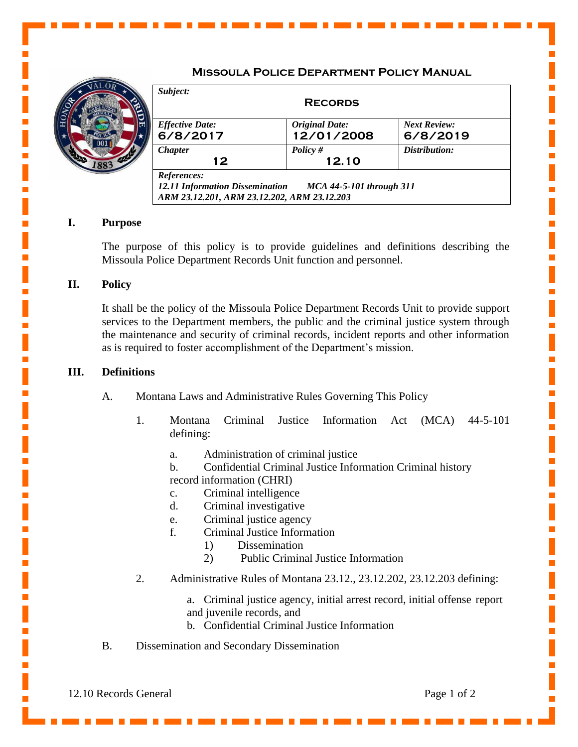# **Missoula Police Department Policy Manual**



| <b>Effective Date:</b> | <b>Original Date:</b> | <b>Next Review:</b> |
|------------------------|-----------------------|---------------------|
| 6/8/2017               | 12/01/2008            | 6/8/2019            |
| <b>Chapter</b>         | Policy $#$            | Distribution:       |
| 12                     | 12.10                 |                     |

### **I. Purpose**

The purpose of this policy is to provide guidelines and definitions describing the Missoula Police Department Records Unit function and personnel.

## **II. Policy**

It shall be the policy of the Missoula Police Department Records Unit to provide support services to the Department members, the public and the criminal justice system through the maintenance and security of criminal records, incident reports and other information as is required to foster accomplishment of the Department's mission.

#### **III. Definitions**

- A. Montana Laws and Administrative Rules Governing This Policy
	- 1. Montana Criminal Justice Information Act (MCA) 44-5-101 defining:
		- a. Administration of criminal justice
		- b. Confidential Criminal Justice Information Criminal history
		- record information (CHRI)
		- c. Criminal intelligence
		- d. Criminal investigative
		- e. Criminal justice agency
		- f. Criminal Justice Information
			- 1) Dissemination
			- 2) Public Criminal Justice Information
	- 2. Administrative Rules of Montana 23.12., 23.12.202, 23.12.203 defining:
		- a. Criminal justice agency, initial arrest record, initial offense report and juvenile records, and
		- b. Confidential Criminal Justice Information
- B. Dissemination and Secondary Dissemination

12.10 Records General Page 1 of 2

Ē,

 $\mathbf{r}$ 

 $\mathbf{r}$ 

Ē,

L.

п

п

L.

п